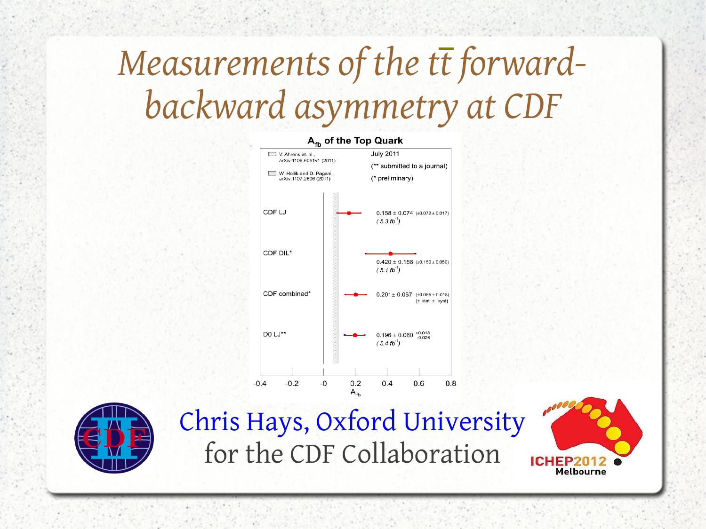# *Measurements of the tt forwardbackward asymmetry at CDF*





Chris Hays, Oxford University for the CDF Collaboration

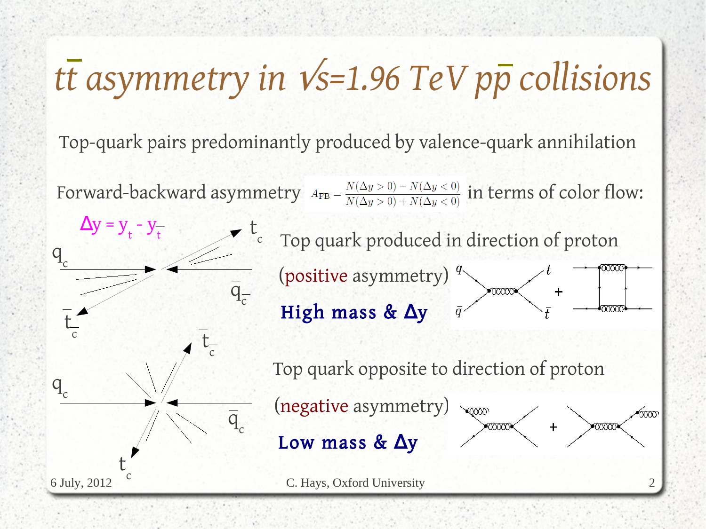# *tt asymmetry in* √*s=1.96 TeV pp collisions*

Top-quark pairs predominantly produced by valence-quark annihilation

Forward-backward asymmetry  $A_{FB} = \frac{N(\Delta y > 0) - N(\Delta y < 0)}{N(\Delta y > 0) + N(\Delta y < 0)}$  in terms of color flow:

 $\Delta y = y$  $- y$ t Top quark produced in direction of proton t t $q$ <sub>c</sub> (positive asymmetry)<sup>q.</sup>  $\overline{q}_{\overline{c}}$ High mass & ∆y t c t c Top quark opposite to direction of proton q<sub>c</sub> (negative asymmetry)  $\overline{q}_{\overline{c}}$  $\times$ Low mass & ∆y t c 6 July, 2012 C. Hays, Oxford University 2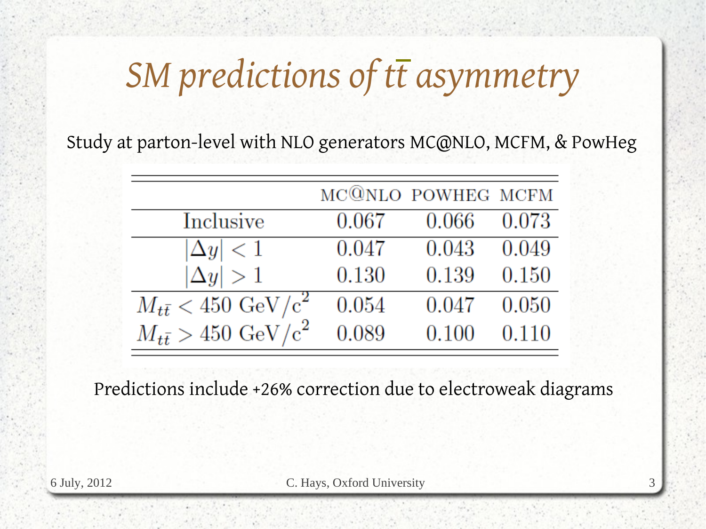# *SM predictions of tt asymmetry*

Study at parton-level with NLO generators [MC@NLO](mailto:MC@NLO), MCFM, & PowHeg

|                                         |       | MC@NLO POWHEG MCFM |       |
|-----------------------------------------|-------|--------------------|-------|
| Inclusive                               | 0.067 | 0.066              | 0.073 |
| $ \Delta y  < 1$                        | 0.047 | 0.043              | 0.049 |
| $ \Delta y  > 1$                        | 0.130 | 0.139              | 0.150 |
| $M_{t\bar{t}} < 450 \; \text{GeV/c}^2$  | 0.054 | 0.047              | 0.050 |
| $M_{t\bar{t}} > 450~\mathrm{GeV/c}^{2}$ | 0.089 | 0.100              | 0.110 |

Predictions include +26% correction due to electroweak diagrams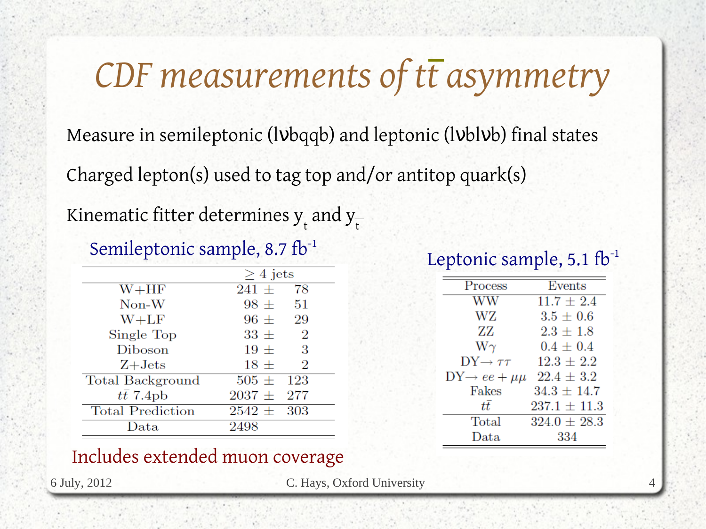# *CDF measurements of tt asymmetry*

Measure in semileptonic (lybqqb) and leptonic (lyblyb) final states Charged lepton(s) used to tag top and/or antitop quark(s)

Kinematic fitter determines  $\bm{{\mathsf{y}}}_{_{\mathsf{t}}}$  and  $\bm{{\mathsf{y}}}_{_{\mathsf{t}}}$ 

#### Semileptonic sample, 8.7 fb<sup>-1</sup>

|                         | $>4$ jets                  |
|-------------------------|----------------------------|
| $W + HF$                | 78<br>$241 \pm$            |
| $Non-W$                 | 51<br>$98 \pm$             |
| $W+LF$                  | $96 \pm$<br>29             |
| Single Top              | $\overline{2}$<br>$33 \pm$ |
| <b>Diboson</b>          | $19 +$<br>3                |
| $Z+{\rm Jets}$          | $18 \pm$<br>$\overline{2}$ |
| <b>Total Background</b> | $505 \pm 123$              |
| $t\bar{t}$ 7.4pb        | $2037 \pm 277$             |
| <b>Total Prediction</b> | $2542 \pm 303$             |
| $\rm Data$              | 2498                       |
|                         |                            |

#### Leptonic sample,  $5.1$  fb<sup>-1</sup>

| <b>Process</b>               | Events           |
|------------------------------|------------------|
| WW                           | $11.7 \pm 2.4$   |
| WZ                           | $3.5 \pm 0.6$    |
| ZZ                           | $2.3 \pm 1.8$    |
| $W\gamma$                    | $0.4 \pm 0.4$    |
| $DY \rightarrow \tau \tau$   | $12.3 \pm 2.2$   |
| $DY \rightarrow ee + \mu\mu$ | $22.4 \pm 3.2$   |
| Fakes                        | $34.3 \pm 14.7$  |
| tĒ                           | $237.1 \pm 11.3$ |
| Total                        | $324.0 \pm 28.3$ |
| Data                         | 334              |

#### Includes extended muon coverage

6 July, 2012 C. Hays, Oxford University 4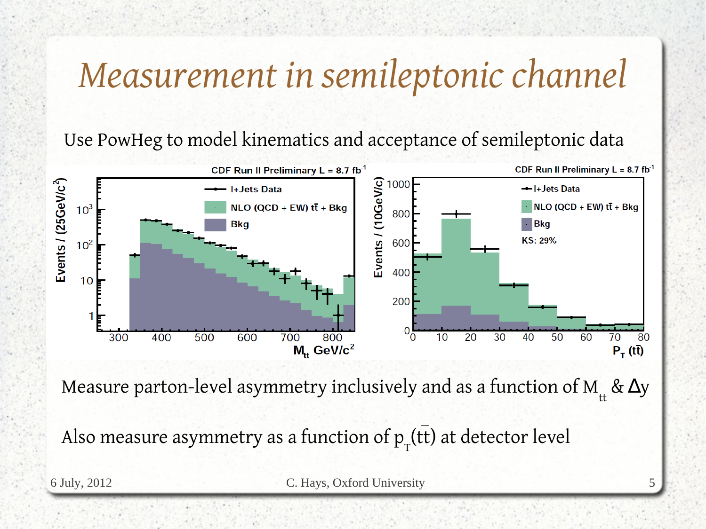# *Measurement in semileptonic channel*

Use PowHeg to model kinematics and acceptance of semileptonic data



Measure parton-level asymmetry inclusively and as a function of M $_{_{\rm tt}}$  &  $\Delta$ y

Also measure asymmetry as a function of  $\mathtt{p}_\mathtt{\tau}(\mathsf{tt})$  at detector level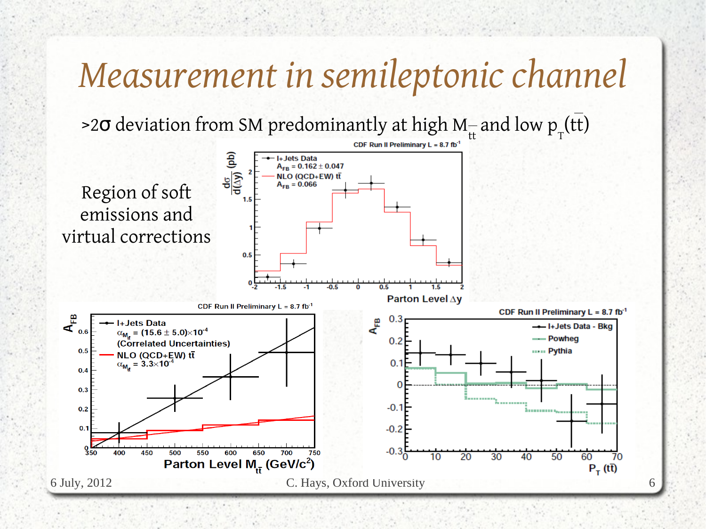### *Measurement in semileptonic channel*

>2σ deviation from SM predominantly at high M– and low p $_{_{\rm T}}$ (tt)

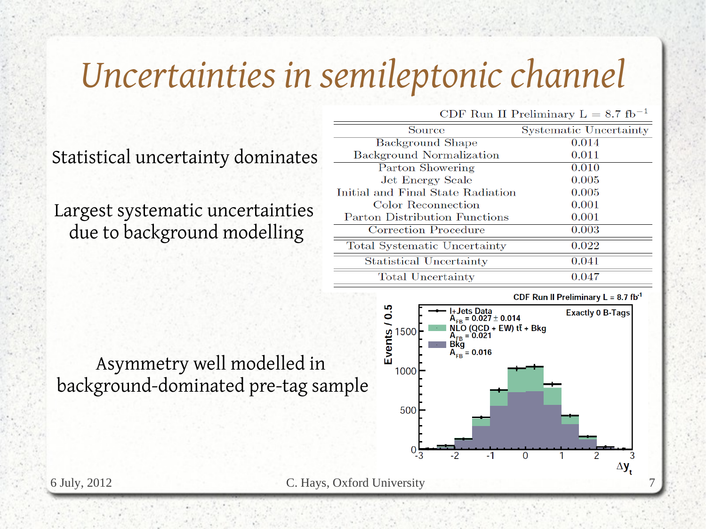# *Uncertainties in semileptonic channel*

|                                                                                                      | Source                            | <b>Systematic Uncertainty</b> |
|------------------------------------------------------------------------------------------------------|-----------------------------------|-------------------------------|
| Statistical uncertainty dominates<br>Largest systematic uncertainties<br>due to background modelling | <b>Background Shape</b>           | 0.014                         |
|                                                                                                      | Background Normalization          | 0.011                         |
|                                                                                                      | Parton Showering                  | 0.010                         |
|                                                                                                      | Jet Energy Scale                  | 0.005                         |
|                                                                                                      | Initial and Final State Radiation | 0.005                         |
|                                                                                                      | Color Reconnection                | 0.001                         |
|                                                                                                      | Parton Distribution Functions     | 0.001                         |
|                                                                                                      | <b>Correction Procedure</b>       | 0.003                         |
|                                                                                                      | Total Systematic Uncertainty      | 0.022                         |
|                                                                                                      | <b>Statistical Uncertainty</b>    | 0.041                         |
|                                                                                                      | <b>Total Uncertainty</b>          | 0.047                         |



CDF Run II Preliminary  $L = 8.7$  fb<sup>-1</sup>



Asymmetry well modelled in background-dominated pre-tag sample

6 July, 2012 C. Hays, Oxford University 7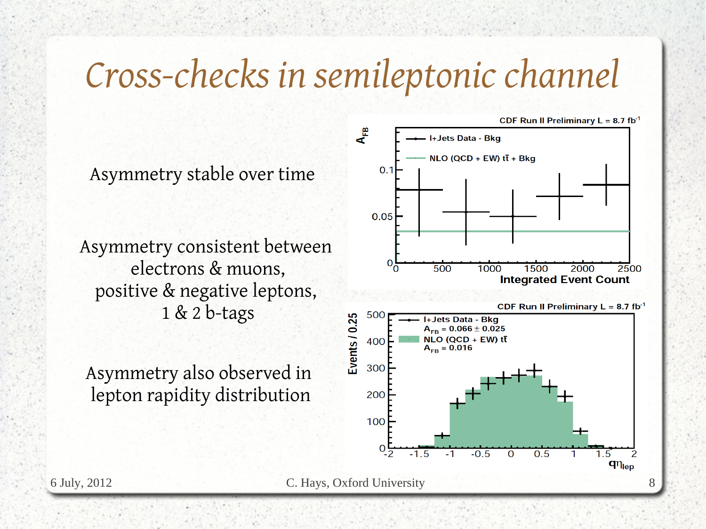### *Cross-checks in semileptonic channel*

Asymmetry stable over time

Asymmetry consistent between electrons & muons, positive & negative leptons, 1 & 2 b-tags

Asymmetry also observed in lepton rapidity distribution

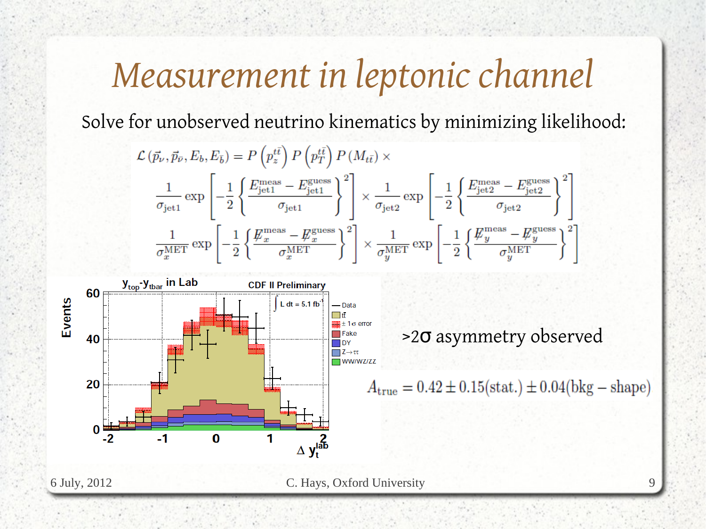## *Measurement in leptonic channel*

Solve for unobserved neutrino kinematics by minimizing likelihood:

$$
\mathcal{L}(\vec{p}_{\nu}, \vec{p}_{\bar{\nu}}, E_b, E_{\bar{b}}) = P\left(p_z^{t\bar{t}}\right) P\left(p_T^{t\bar{t}}\right) P(M_{t\bar{t}}) \times \frac{1}{\sigma_{\text{jet1}}} \exp\left[-\frac{1}{2} \left\{ \frac{E_{\text{jet1}}^{\text{meas}} - E_{\text{jet1}}^{\text{guess}}}{\sigma_{\text{jet1}}} \right\}^2\right] \times \frac{1}{\sigma_{\text{jet2}}} \exp\left[-\frac{1}{2} \left\{ \frac{E_{\text{jet2}}^{\text{meas}} - E_{\text{jet2}}^{\text{guess}}}{\sigma_{\text{jet2}}} \right\}^2\right] \frac{1}{\sigma_x^{\text{MET}}} \exp\left[-\frac{1}{2} \left\{ \frac{E_x^{\text{meas}} - E_x^{\text{guess}}}{\sigma_x^{\text{MET}}}\right\}^2\right] \times \frac{1}{\sigma_y^{\text{MET}}} \exp\left[-\frac{1}{2} \left\{ \frac{E_y^{\text{meas}} - E_y^{\text{guess}}}{\sigma_y^{\text{MET}}}\right\}^2\right]
$$

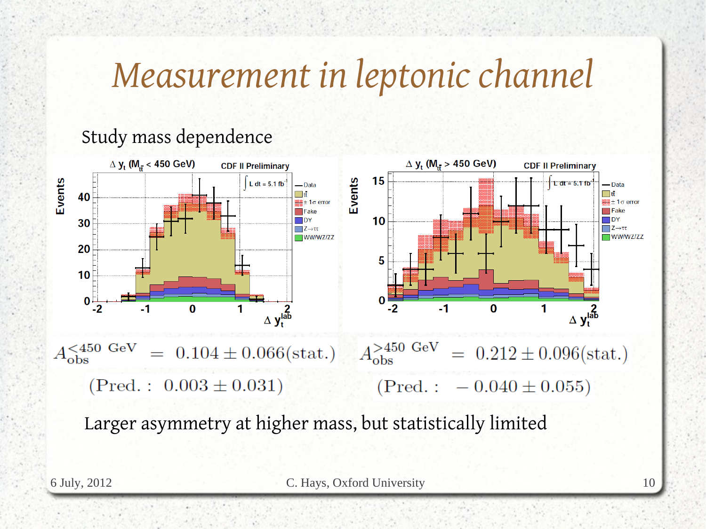# *Measurement in leptonic channel*

### Study mass dependence